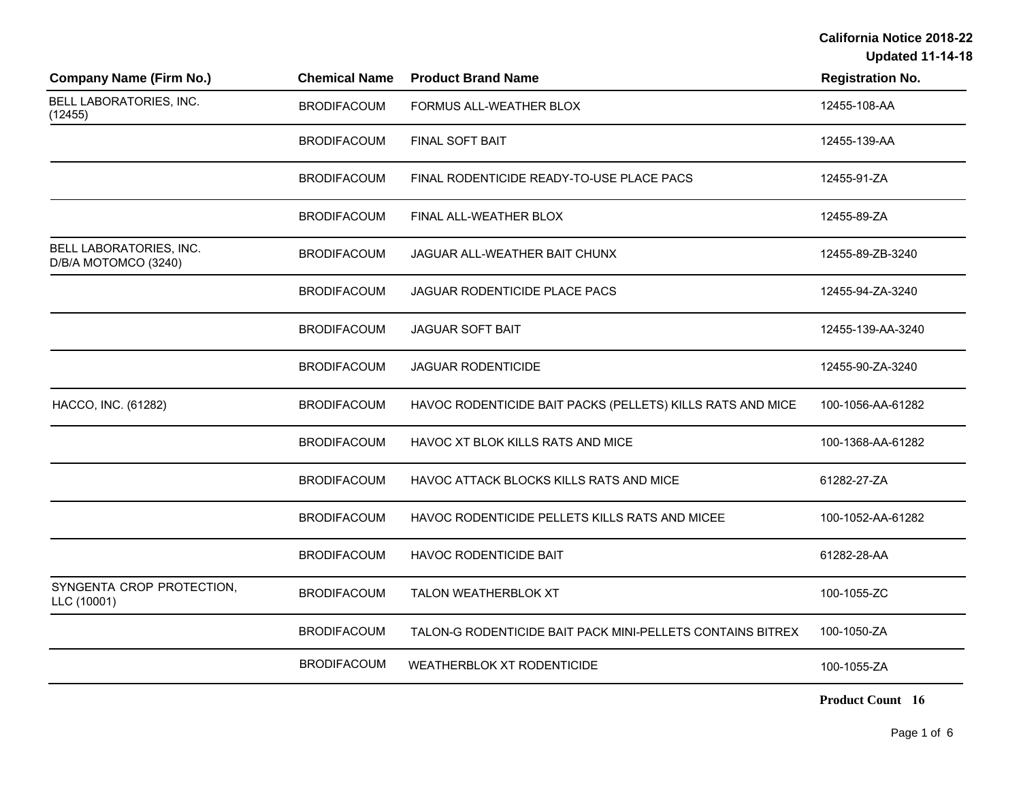**Updated 11-14-18**

| <b>Company Name (Firm No.)</b>                  | <b>Chemical Name</b> | <b>Product Brand Name</b>                                  | <b>Registration No.</b> |
|-------------------------------------------------|----------------------|------------------------------------------------------------|-------------------------|
| BELL LABORATORIES, INC.<br>(12455)              | <b>BRODIFACOUM</b>   | FORMUS ALL-WEATHER BLOX                                    | 12455-108-AA            |
|                                                 | <b>BRODIFACOUM</b>   | FINAL SOFT BAIT                                            | 12455-139-AA            |
|                                                 | <b>BRODIFACOUM</b>   | FINAL RODENTICIDE READY-TO-USE PLACE PACS                  | 12455-91-ZA             |
|                                                 | <b>BRODIFACOUM</b>   | FINAL ALL-WEATHER BLOX                                     | 12455-89-ZA             |
| BELL LABORATORIES, INC.<br>D/B/A MOTOMCO (3240) | <b>BRODIFACOUM</b>   | JAGUAR ALL-WEATHER BAIT CHUNX                              | 12455-89-ZB-3240        |
|                                                 | <b>BRODIFACOUM</b>   | JAGUAR RODENTICIDE PLACE PACS                              | 12455-94-ZA-3240        |
|                                                 | <b>BRODIFACOUM</b>   | <b>JAGUAR SOFT BAIT</b>                                    | 12455-139-AA-3240       |
|                                                 | <b>BRODIFACOUM</b>   | <b>JAGUAR RODENTICIDE</b>                                  | 12455-90-ZA-3240        |
| HACCO, INC. (61282)                             | <b>BRODIFACOUM</b>   | HAVOC RODENTICIDE BAIT PACKS (PELLETS) KILLS RATS AND MICE | 100-1056-AA-61282       |
|                                                 | <b>BRODIFACOUM</b>   | HAVOC XT BLOK KILLS RATS AND MICE                          | 100-1368-AA-61282       |
|                                                 | <b>BRODIFACOUM</b>   | HAVOC ATTACK BLOCKS KILLS RATS AND MICE                    | 61282-27-ZA             |
|                                                 | <b>BRODIFACOUM</b>   | HAVOC RODENTICIDE PELLETS KILLS RATS AND MICEE             | 100-1052-AA-61282       |
|                                                 | <b>BRODIFACOUM</b>   | <b>HAVOC RODENTICIDE BAIT</b>                              | 61282-28-AA             |
| SYNGENTA CROP PROTECTION,<br>LLC (10001)        | <b>BRODIFACOUM</b>   | <b>TALON WEATHERBLOK XT</b>                                | 100-1055-ZC             |
|                                                 | <b>BRODIFACOUM</b>   | TALON-G RODENTICIDE BAIT PACK MINI-PELLETS CONTAINS BITREX | 100-1050-ZA             |
|                                                 | <b>BRODIFACOUM</b>   | <b>WEATHERBLOK XT RODENTICIDE</b>                          | 100-1055-ZA             |
|                                                 |                      |                                                            |                         |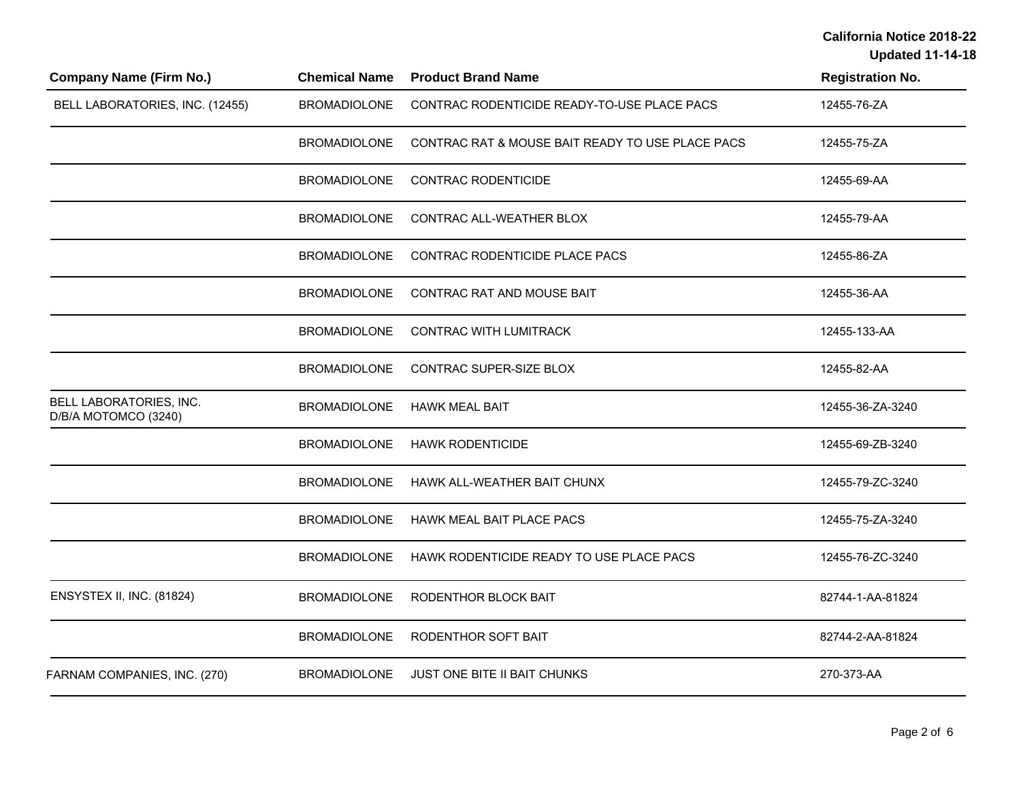**Updated 11-14-18**

| <b>Company Name (Firm No.)</b>                  | <b>Chemical Name</b> | <b>Product Brand Name</b>                        | <b>Registration No.</b> |
|-------------------------------------------------|----------------------|--------------------------------------------------|-------------------------|
| BELL LABORATORIES, INC. (12455)                 | <b>BROMADIOLONE</b>  | CONTRAC RODENTICIDE READY-TO-USE PLACE PACS      | 12455-76-ZA             |
|                                                 | <b>BROMADIOLONE</b>  | CONTRAC RAT & MOUSE BAIT READY TO USE PLACE PACS | 12455-75-ZA             |
|                                                 | <b>BROMADIOLONE</b>  | <b>CONTRAC RODENTICIDE</b>                       | 12455-69-AA             |
|                                                 | <b>BROMADIOLONE</b>  | CONTRAC ALL-WEATHER BLOX                         | 12455-79-AA             |
|                                                 | <b>BROMADIOLONE</b>  | CONTRAC RODENTICIDE PLACE PACS                   | 12455-86-ZA             |
|                                                 | <b>BROMADIOLONE</b>  | CONTRAC RAT AND MOUSE BAIT                       | 12455-36-AA             |
|                                                 | <b>BROMADIOLONE</b>  | <b>CONTRAC WITH LUMITRACK</b>                    | 12455-133-AA            |
|                                                 | <b>BROMADIOLONE</b>  | CONTRAC SUPER-SIZE BLOX                          | 12455-82-AA             |
| BELL LABORATORIES, INC.<br>D/B/A MOTOMCO (3240) | <b>BROMADIOLONE</b>  | <b>HAWK MEAL BAIT</b>                            | 12455-36-ZA-3240        |
|                                                 | <b>BROMADIOLONE</b>  | <b>HAWK RODENTICIDE</b>                          | 12455-69-ZB-3240        |
|                                                 | <b>BROMADIOLONE</b>  | HAWK ALL-WEATHER BAIT CHUNX                      | 12455-79-ZC-3240        |
|                                                 | <b>BROMADIOLONE</b>  | <b>HAWK MEAL BAIT PLACE PACS</b>                 | 12455-75-ZA-3240        |
|                                                 | <b>BROMADIOLONE</b>  | HAWK RODENTICIDE READY TO USE PLACE PACS         | 12455-76-ZC-3240        |
| ENSYSTEX II, INC. (81824)                       | <b>BROMADIOLONE</b>  | RODENTHOR BLOCK BAIT                             | 82744-1-AA-81824        |
|                                                 | <b>BROMADIOLONE</b>  | RODENTHOR SOFT BAIT                              | 82744-2-AA-81824        |
| FARNAM COMPANIES, INC. (270)                    | <b>BROMADIOLONE</b>  | JUST ONE BITE II BAIT CHUNKS                     | 270-373-AA              |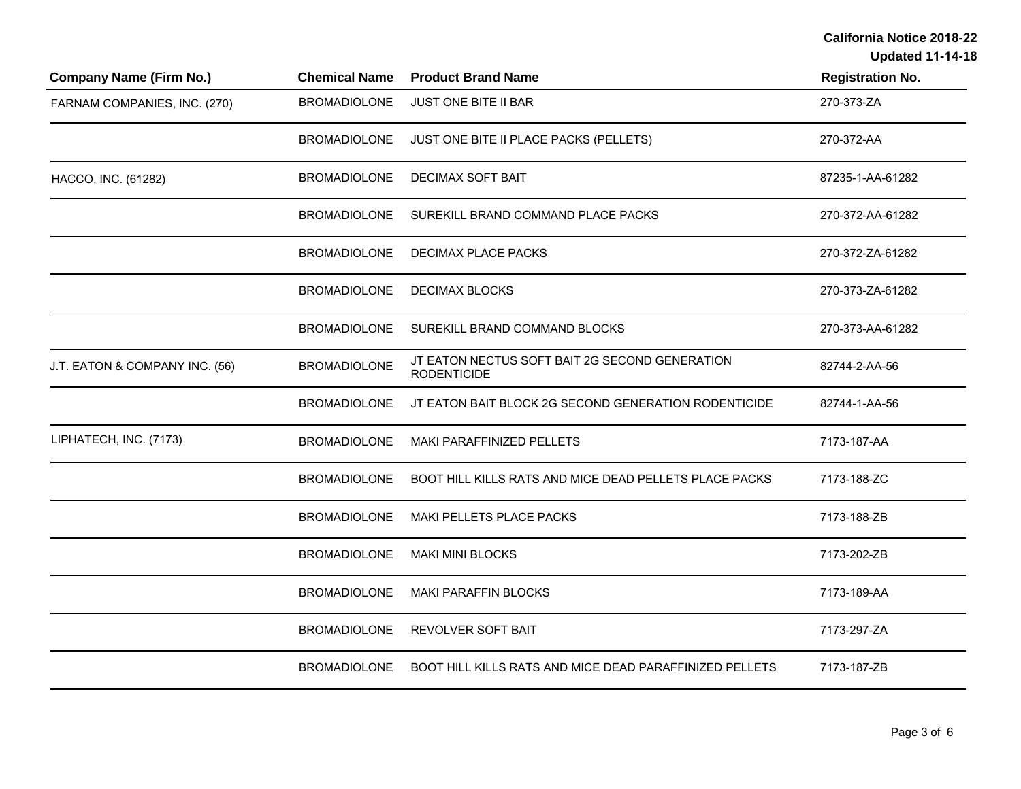**Updated 11-14-18**

| <b>Company Name (Firm No.)</b> | <b>Chemical Name</b> | <b>Product Brand Name</b>                                            | <b>Registration No.</b> |
|--------------------------------|----------------------|----------------------------------------------------------------------|-------------------------|
| FARNAM COMPANIES, INC. (270)   | <b>BROMADIOLONE</b>  | JUST ONE BITE II BAR                                                 | 270-373-ZA              |
|                                | <b>BROMADIOLONE</b>  | JUST ONE BITE II PLACE PACKS (PELLETS)                               | 270-372-AA              |
| HACCO, INC. (61282)            | <b>BROMADIOLONE</b>  | <b>DECIMAX SOFT BAIT</b>                                             | 87235-1-AA-61282        |
|                                | <b>BROMADIOLONE</b>  | SUREKILL BRAND COMMAND PLACE PACKS                                   | 270-372-AA-61282        |
|                                | <b>BROMADIOLONE</b>  | DECIMAX PLACE PACKS                                                  | 270-372-ZA-61282        |
|                                | <b>BROMADIOLONE</b>  | <b>DECIMAX BLOCKS</b>                                                | 270-373-ZA-61282        |
|                                | <b>BROMADIOLONE</b>  | SUREKILL BRAND COMMAND BLOCKS                                        | 270-373-AA-61282        |
| J.T. EATON & COMPANY INC. (56) | <b>BROMADIOLONE</b>  | JT EATON NECTUS SOFT BAIT 2G SECOND GENERATION<br><b>RODENTICIDE</b> | 82744-2-AA-56           |
|                                | <b>BROMADIOLONE</b>  | JT EATON BAIT BLOCK 2G SECOND GENERATION RODENTICIDE                 | 82744-1-AA-56           |
| LIPHATECH, INC. (7173)         | <b>BROMADIOLONE</b>  | MAKI PARAFFINIZED PELLETS                                            | 7173-187-AA             |
|                                | <b>BROMADIOLONE</b>  | BOOT HILL KILLS RATS AND MICE DEAD PELLETS PLACE PACKS               | 7173-188-ZC             |
|                                | <b>BROMADIOLONE</b>  | MAKI PELLETS PLACE PACKS                                             | 7173-188-ZB             |
|                                | <b>BROMADIOLONE</b>  | <b>MAKI MINI BLOCKS</b>                                              | 7173-202-ZB             |
|                                | <b>BROMADIOLONE</b>  | <b>MAKI PARAFFIN BLOCKS</b>                                          | 7173-189-AA             |
|                                | <b>BROMADIOLONE</b>  | <b>REVOLVER SOFT BAIT</b>                                            | 7173-297-ZA             |
|                                | <b>BROMADIOLONE</b>  | BOOT HILL KILLS RATS AND MICE DEAD PARAFFINIZED PELLETS              | 7173-187-ZB             |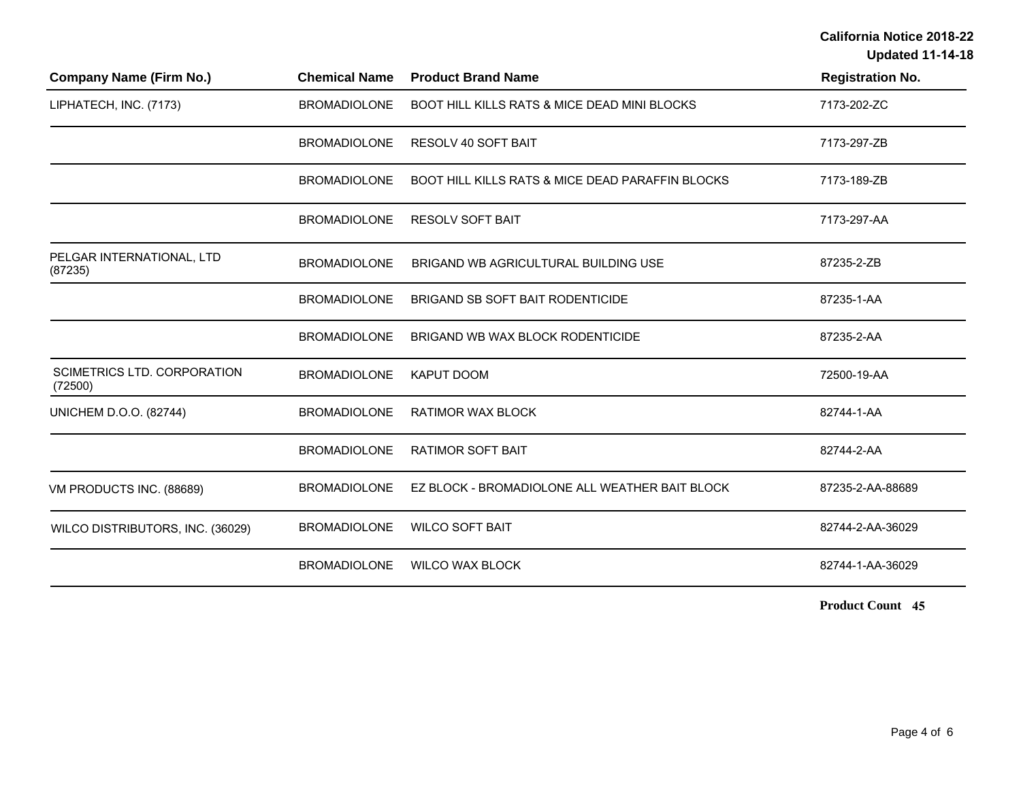**Updated 11-14-18**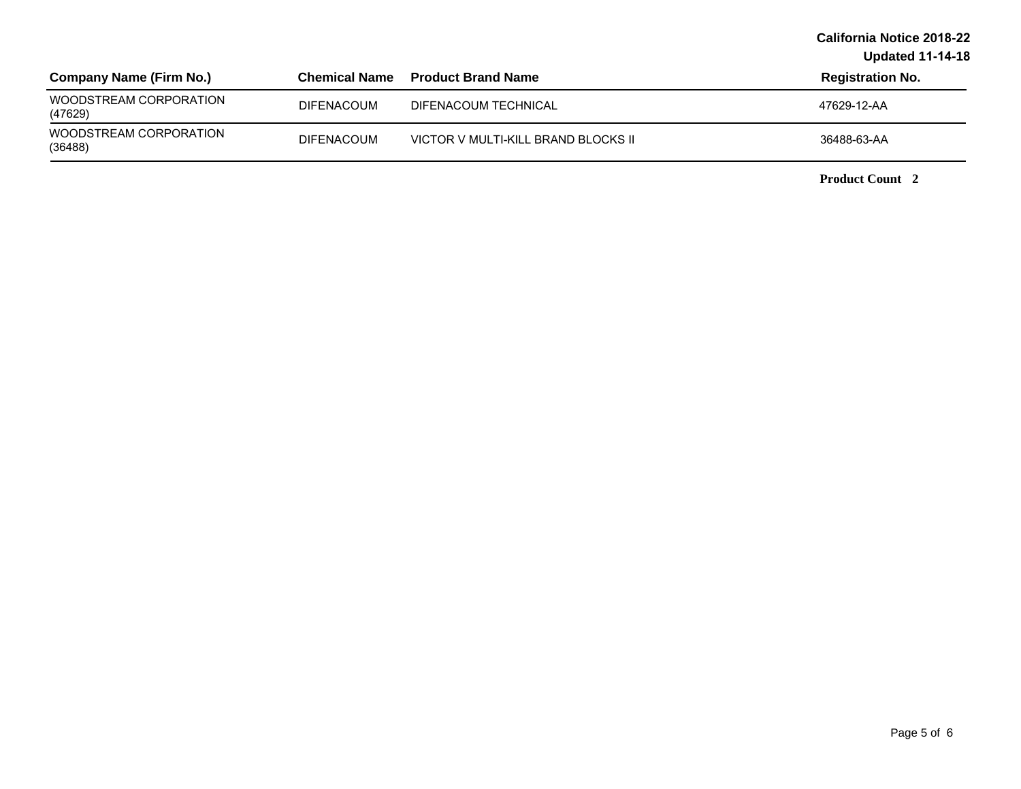**Updated 11-14-18**

| <b>Company Name (Firm No.)</b>    | Chemical Name     | <b>Product Brand Name</b>           | <b>Registration No.</b> |
|-----------------------------------|-------------------|-------------------------------------|-------------------------|
| WOODSTREAM CORPORATION<br>(47629) | <b>DIFENACOUM</b> | DIFENACOUM TECHNICAL                | 47629-12-AA             |
| WOODSTREAM CORPORATION<br>(36488) | <b>DIFENACOUM</b> | VICTOR V MULTI-KILL BRAND BLOCKS II | 36488-63-AA             |